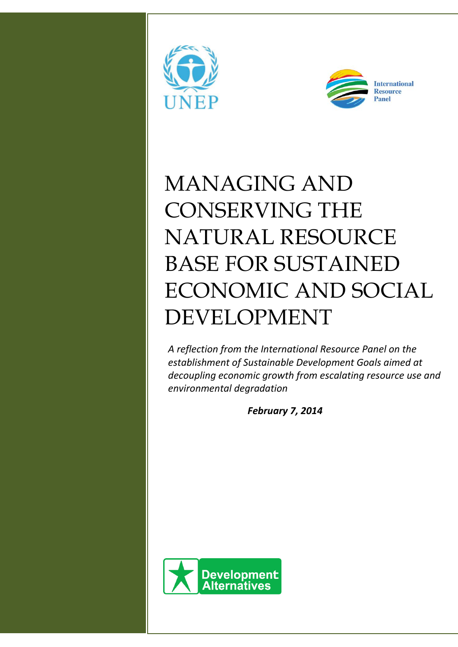



# MANAGING AND CONSERVING THE NATURAL RESOURCE BASE FOR SUSTAINED ECONOMIC AND SOCIAL DEVELOPMENT

*A reflection from the International Resource Panel on the establishment of Sustainable Development Goals aimed at decoupling economic growth from escalating resource use and environmental degradation*

*February 7, 2014*

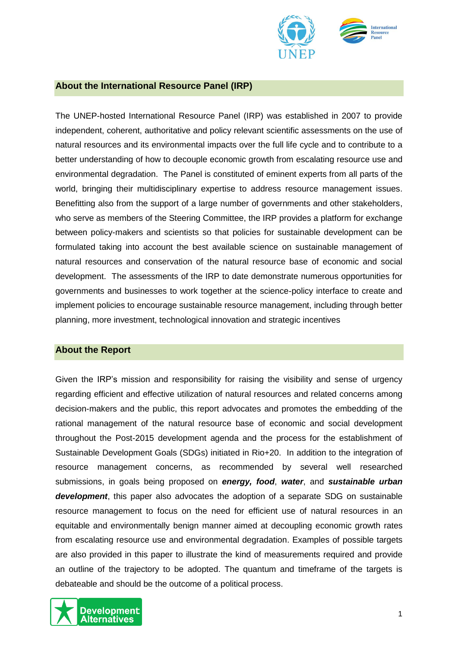

### **About the International Resource Panel (IRP)**

The UNEP-hosted International Resource Panel (IRP) was established in 2007 to provide independent, coherent, authoritative and policy relevant scientific assessments on the use of natural resources and its environmental impacts over the full life cycle and to contribute to a better understanding of how to decouple economic growth from escalating resource use and environmental degradation. The Panel is constituted of eminent experts from all parts of the world, bringing their multidisciplinary expertise to address resource management issues. Benefitting also from the support of a large number of governments and other stakeholders, who serve as members of the Steering Committee, the IRP provides a platform for exchange between policy-makers and scientists so that policies for sustainable development can be formulated taking into account the best available science on sustainable management of natural resources and conservation of the natural resource base of economic and social development. The assessments of the IRP to date demonstrate numerous opportunities for governments and businesses to work together at the science-policy interface to create and implement policies to encourage sustainable resource management, including through better planning, more investment, technological innovation and strategic incentives

#### **About the Report**

Given the IRP's mission and responsibility for raising the visibility and sense of urgency regarding efficient and effective utilization of natural resources and related concerns among decision-makers and the public, this report advocates and promotes the embedding of the rational management of the natural resource base of economic and social development throughout the Post-2015 development agenda and the process for the establishment of Sustainable Development Goals (SDGs) initiated in Rio+20. In addition to the integration of resource management concerns, as recommended by several well researched submissions, in goals being proposed on *energy, food*, *water*, and *sustainable urban development*, this paper also advocates the adoption of a separate SDG on sustainable resource management to focus on the need for efficient use of natural resources in an equitable and environmentally benign manner aimed at decoupling economic growth rates from escalating resource use and environmental degradation. Examples of possible targets are also provided in this paper to illustrate the kind of measurements required and provide an outline of the trajectory to be adopted. The quantum and timeframe of the targets is debateable and should be the outcome of a political process.

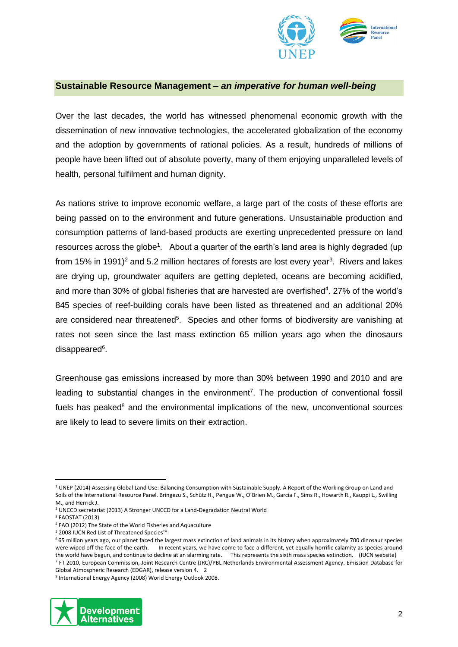

#### **Sustainable Resource Management –** *an imperative for human well-being*

Over the last decades, the world has witnessed phenomenal economic growth with the dissemination of new innovative technologies, the accelerated globalization of the economy and the adoption by governments of rational policies. As a result, hundreds of millions of people have been lifted out of absolute poverty, many of them enjoying unparalleled levels of health, personal fulfilment and human dignity.

As nations strive to improve economic welfare, a large part of the costs of these efforts are being passed on to the environment and future generations. Unsustainable production and consumption patterns of land-based products are exerting unprecedented pressure on land resources across the globe<sup>1</sup>. About a quarter of the earth's land area is highly degraded (up from 15% in 1991)<sup>2</sup> and 5.2 million hectares of forests are lost every year<sup>3</sup>. Rivers and lakes are drying up, groundwater aquifers are getting depleted, oceans are becoming acidified, and more than 30% of global fisheries that are harvested are overfished $4$ . 27% of the world's 845 species of reef-building corals have been listed as threatened and an additional 20% are considered near threatened<sup>5</sup>. Species and other forms of biodiversity are vanishing at rates not seen since the last mass extinction 65 million years ago when the dinosaurs disappeared<sup>6</sup>.

Greenhouse gas emissions increased by more than 30% between 1990 and 2010 and are leading to substantial changes in the environment<sup>7</sup>. The production of conventional fossil fuels has peaked $8$  and the environmental implications of the new, unconventional sources are likely to lead to severe limits on their extraction.

<sup>8</sup> International Energy Agency (2008) World Energy Outlook 2008.



**<sup>.</sup>** <sup>1</sup> UNEP (2014) Assessing Global Land Use: Balancing Consumption with Sustainable Supply. A Report of the Working Group on Land and Soils of the International Resource Panel. Bringezu S., Schütz H., Pengue W., O´Brien M., Garcia F., Sims R., Howarth R., Kauppi L., Swilling M., and Herrick J.

<sup>2</sup> UNCCD secretariat (2013) A Stronger UNCCD for a Land-Degradation Neutral World

<sup>3</sup> FAOSTAT (2013)

<sup>4</sup> FAO (2012) The State of the World Fisheries and Aquaculture

<sup>5</sup> 2008 IUCN Red List of Threatened Species™

<sup>6</sup> 65 million years ago, our planet faced the largest mass extinction of land animals in its history when approximately 700 dinosaur species were wiped off the face of the earth. In recent years, we have come to face a different, yet equally horrific calamity as species around the world have begun, and continue to decline at an alarming rate. This represents the sixth mass species extinction. (IUCN website) <sup>7</sup> FT 2010, European Commission, Joint Research Centre (JRC)/PBL Netherlands Environmental Assessment Agency. Emission Database for Global Atmospheric Research (EDGAR), release version 4. 2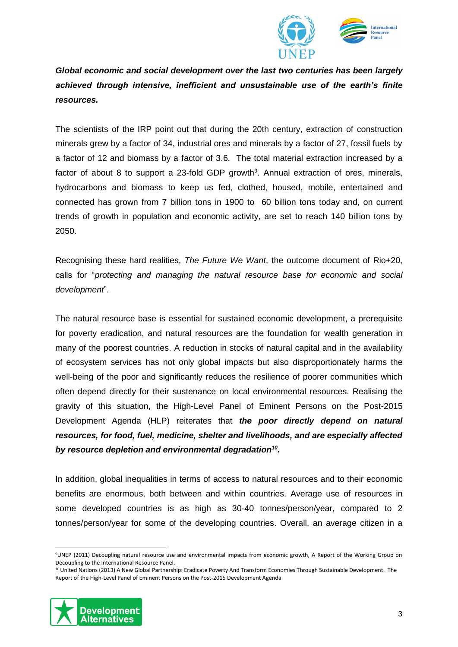

*Global economic and social development over the last two centuries has been largely achieved through intensive, inefficient and unsustainable use of the earth's finite resources.* 

The scientists of the IRP point out that during the 20th century, extraction of construction minerals grew by a factor of 34, industrial ores and minerals by a factor of 27, fossil fuels by a factor of 12 and biomass by a factor of 3.6. The total material extraction increased by a factor of about 8 to support a 23-fold GDP growth<sup>9</sup>. Annual extraction of ores, minerals, hydrocarbons and biomass to keep us fed, clothed, housed, mobile, entertained and connected has grown from 7 billion tons in 1900 to 60 billion tons today and, on current trends of growth in population and economic activity, are set to reach 140 billion tons by 2050.

Recognising these hard realities, *The Future We Want*, the outcome document of Rio+20, calls for "*protecting and managing the natural resource base for economic and social development*".

The natural resource base is essential for sustained economic development, a prerequisite for poverty eradication, and natural resources are the foundation for wealth generation in many of the poorest countries. A reduction in stocks of natural capital and in the availability of ecosystem services has not only global impacts but also disproportionately harms the well-being of the poor and significantly reduces the resilience of poorer communities which often depend directly for their sustenance on local environmental resources. Realising the gravity of this situation, the High-Level Panel of Eminent Persons on the Post-2015 Development Agenda (HLP) reiterates that *the poor directly depend on natural resources, for food, fuel, medicine, shelter and livelihoods, and are especially affected by resource depletion and environmental degradation<sup>10</sup> .* 

In addition, global inequalities in terms of access to natural resources and to their economic benefits are enormous, both between and within countries. Average use of resources in some developed countries is as high as 30-40 tonnes/person/year, compared to 2 tonnes/person/year for some of the developing countries. Overall, an average citizen in a

<sup>&</sup>lt;sup>10</sup> United Nations (2013) A New Global Partnership: Eradicate Poverty And Transform Economies Through Sustainable Development. The Report of the High-Level Panel of Eminent Persons on the Post-2015 Development Agenda



 $\overline{a}$ 

<sup>9</sup>UNEP (2011) Decoupling natural resource use and environmental impacts from economic growth, A Report of the Working Group on Decoupling to the International Resource Panel.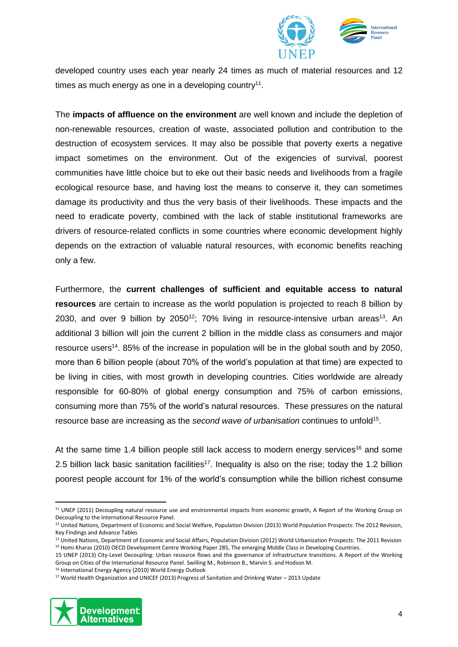

developed country uses each year nearly 24 times as much of material resources and 12 times as much energy as one in a developing country $11$ .

The **impacts of affluence on the environment** are well known and include the depletion of non-renewable resources, creation of waste, associated pollution and contribution to the destruction of ecosystem services. It may also be possible that poverty exerts a negative impact sometimes on the environment. Out of the exigencies of survival, poorest communities have little choice but to eke out their basic needs and livelihoods from a fragile ecological resource base, and having lost the means to conserve it, they can sometimes damage its productivity and thus the very basis of their livelihoods. These impacts and the need to eradicate poverty, combined with the lack of stable institutional frameworks are drivers of resource-related conflicts in some countries where economic development highly depends on the extraction of valuable natural resources, with economic benefits reaching only a few.

Furthermore, the **current challenges of sufficient and equitable access to natural resources** are certain to increase as the world population is projected to reach 8 billion by 2030, and over 9 billion by 2050<sup>12</sup>; 70% living in resource-intensive urban areas<sup>13</sup>. An additional 3 billion will join the current 2 billion in the middle class as consumers and major resource users<sup>14</sup>. 85% of the increase in population will be in the global south and by 2050, more than 6 billion people (about 70% of the world's population at that time) are expected to be living in cities, with most growth in developing countries. Cities worldwide are already responsible for 60-80% of global energy consumption and 75% of carbon emissions, consuming more than 75% of the world's natural resources. These pressures on the natural resource base are increasing as the *second wave of urbanisation* continues to unfold<sup>15</sup>.

At the same time 1.4 billion people still lack access to modern energy services<sup>16</sup> and some 2.5 billion lack basic sanitation facilities<sup>17</sup>. Inequality is also on the rise; today the 1.2 billion poorest people account for 1% of the world's consumption while the billion richest consume

<sup>17</sup> World Health Organization and UNICEF (2013) Progress of Sanitation and Drinking Water – 2013 Update



**.** 

<sup>&</sup>lt;sup>11</sup> UNEP (2011) Decoupling natural resource use and environmental impacts from economic growth, A Report of the Working Group on Decoupling to the International Resource Panel.

<sup>&</sup>lt;sup>12</sup> United Nations, Department of Economic and Social Welfare, Population Division (2013) World Population Prospects: The 2012 Revision, Key Findings and Advance Tables

<sup>13</sup> United Nations, Department of Economic and Social Affairs, Population Division (2012) World Urbanization Prospects: The 2011 Revision <sup>14</sup> Homi Kharas (2010) OECD Development Centre Working Paper 285, The emerging Middle Class in Developing Countries.

<sup>15</sup> UNEP (2013) City-Level Decoupling: Urban resource flows and the governance of infrastructure transitions. A Report of the Working Group on Cities of the International Resource Panel. Swilling M., Robinson B., Marvin S. and Hodson M.

<sup>16</sup> International Energy Agency (2010) World Energy Outlook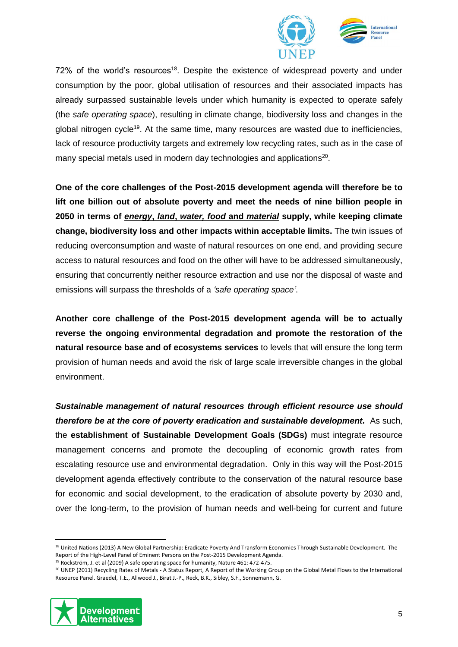

 $72\%$  of the world's resources<sup>18</sup>. Despite the existence of widespread poverty and under consumption by the poor, global utilisation of resources and their associated impacts has already surpassed sustainable levels under which humanity is expected to operate safely (the *safe operating space*), resulting in climate change, biodiversity loss and changes in the global nitrogen cycle<sup>19</sup>. At the same time, many resources are wasted due to inefficiencies, lack of resource productivity targets and extremely low recycling rates, such as in the case of many special metals used in modern day technologies and applications<sup>20</sup>.

**One of the core challenges of the Post-2015 development agenda will therefore be to lift one billion out of absolute poverty and meet the needs of nine billion people in 2050 in terms of** *energy***,** *land***,** *water, food* **and** *material* **supply, while keeping climate change, biodiversity loss and other impacts within acceptable limits.** The twin issues of reducing overconsumption and waste of natural resources on one end, and providing secure access to natural resources and food on the other will have to be addressed simultaneously, ensuring that concurrently neither resource extraction and use nor the disposal of waste and emissions will surpass the thresholds of a *'safe operating space'*.

**Another core challenge of the Post-2015 development agenda will be to actually reverse the ongoing environmental degradation and promote the restoration of the natural resource base and of ecosystems services** to levels that will ensure the long term provision of human needs and avoid the risk of large scale irreversible changes in the global environment.

*Sustainable management of natural resources through efficient resource use should therefore be at the core of poverty eradication and sustainable development.* As such, the **establishment of Sustainable Development Goals (SDGs)** must integrate resource management concerns and promote the decoupling of economic growth rates from escalating resource use and environmental degradation. Only in this way will the Post-2015 development agenda effectively contribute to the conservation of the natural resource base for economic and social development, to the eradication of absolute poverty by 2030 and, over the long‐term, to the provision of human needs and well‐being for current and future

<sup>20</sup> UNEP (2011) Recycling Rates of Metals - A Status Report, A Report of the Working Group on the Global Metal Flows to the International Resource Panel. Graedel, T.E., Allwood J., Birat J.-P., Reck, B.K., Sibley, S.F., Sonnemann, G.



1

<sup>&</sup>lt;sup>18</sup> United Nations (2013) A New Global Partnership: Eradicate Poverty And Transform Economies Through Sustainable Development. The Report of the High-Level Panel of Eminent Persons on the Post-2015 Development Agenda. <sup>19</sup> Rockström, J. et al (2009) A safe operating space for humanity, Nature 461: 472-475.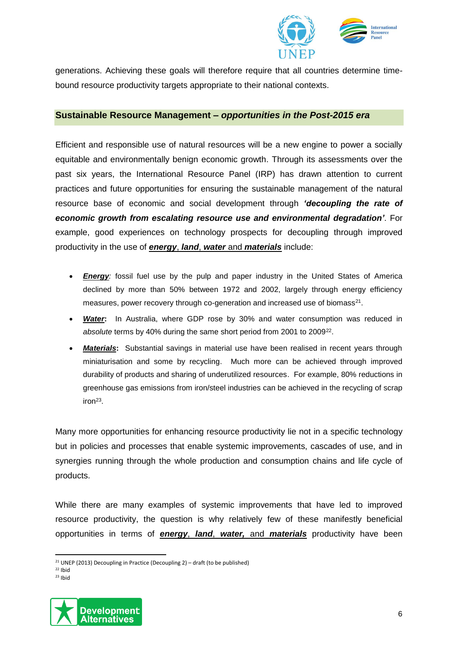

generations. Achieving these goals will therefore require that all countries determine timebound resource productivity targets appropriate to their national contexts.

#### **Sustainable Resource Management –** *opportunities in the Post-2015 era*

Efficient and responsible use of natural resources will be a new engine to power a socially equitable and environmentally benign economic growth. Through its assessments over the past six years, the International Resource Panel (IRP) has drawn attention to current practices and future opportunities for ensuring the sustainable management of the natural resource base of economic and social development through *'decoupling the rate of economic growth from escalating resource use and environmental degradation'*. For example, good experiences on technology prospects for decoupling through improved productivity in the use of *energy*, *land*, *water* and *materials* include:

- *Energy:* fossil fuel use by the pulp and paper industry in the United States of America declined by more than 50% between 1972 and 2002, largely through energy efficiency measures, power recovery through co-generation and increased use of biomass<sup>21</sup>.
- *Water***:** In Australia, where GDP rose by 30% and water consumption was reduced in absolute terms by 40% during the same short period from 2001 to 2009<sup>22</sup>.
- *Materials***:** Substantial savings in material use have been realised in recent years through miniaturisation and some by recycling. Much more can be achieved through improved durability of products and sharing of underutilized resources. For example, 80% reductions in greenhouse gas emissions from iron/steel industries can be achieved in the recycling of scrap  $iron<sup>23</sup>$ .

Many more opportunities for enhancing resource productivity lie not in a specific technology but in policies and processes that enable systemic improvements, cascades of use, and in synergies running through the whole production and consumption chains and life cycle of products.

While there are many examples of systemic improvements that have led to improved resource productivity, the question is why relatively few of these manifestly beneficial opportunities in terms of *energy*, *land*, *water,* and *materials* productivity have been

 $23$  Ibid



 $\overline{a}$ <sup>21</sup> UNEP (2013) Decoupling in Practice (Decoupling 2) – draft (to be published)

 $22$  Ibid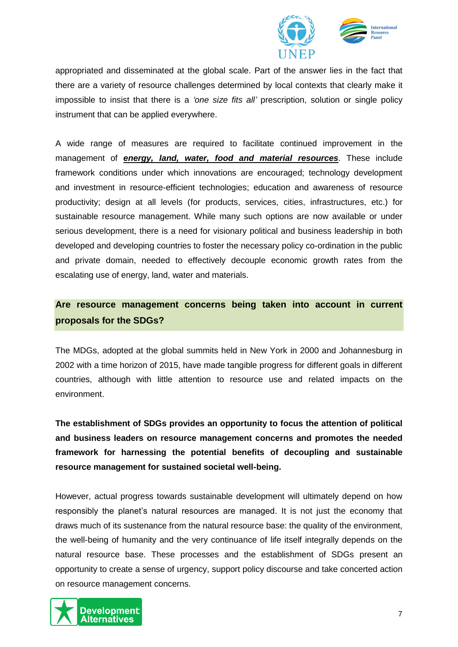

appropriated and disseminated at the global scale. Part of the answer lies in the fact that there are a variety of resource challenges determined by local contexts that clearly make it impossible to insist that there is a *'one size fits all'* prescription, solution or single policy instrument that can be applied everywhere.

A wide range of measures are required to facilitate continued improvement in the management of *energy, land, water, food and material resources*. These include framework conditions under which innovations are encouraged; technology development and investment in resource-efficient technologies; education and awareness of resource productivity; design at all levels (for products, services, cities, infrastructures, etc.) for sustainable resource management. While many such options are now available or under serious development, there is a need for visionary political and business leadership in both developed and developing countries to foster the necessary policy co-ordination in the public and private domain, needed to effectively decouple economic growth rates from the escalating use of energy, land, water and materials.

## **Are resource management concerns being taken into account in current proposals for the SDGs?**

The MDGs, adopted at the global summits held in New York in 2000 and Johannesburg in 2002 with a time horizon of 2015, have made tangible progress for different goals in different countries, although with little attention to resource use and related impacts on the environment.

**The establishment of SDGs provides an opportunity to focus the attention of political and business leaders on resource management concerns and promotes the needed framework for harnessing the potential benefits of decoupling and sustainable resource management for sustained societal well-being.** 

However, actual progress towards sustainable development will ultimately depend on how responsibly the planet's natural resources are managed. It is not just the economy that draws much of its sustenance from the natural resource base: the quality of the environment, the well-being of humanity and the very continuance of life itself integrally depends on the natural resource base. These processes and the establishment of SDGs present an opportunity to create a sense of urgency, support policy discourse and take concerted action on resource management concerns.

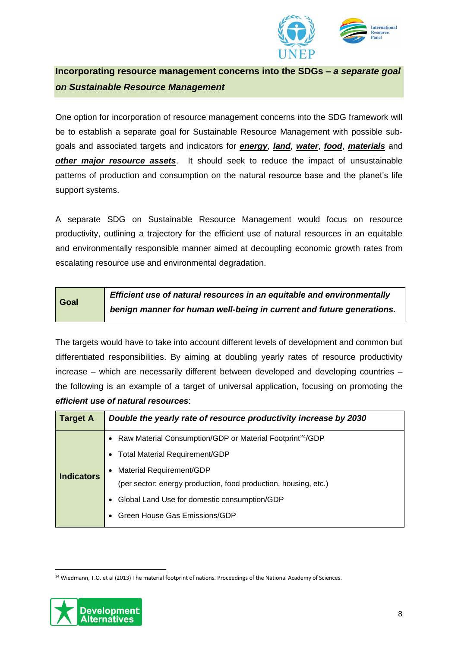

**Incorporating resource management concerns into the SDGs –** *a separate goal on Sustainable Resource Management*

One option for incorporation of resource management concerns into the SDG framework will be to establish a separate goal for Sustainable Resource Management with possible subgoals and associated targets and indicators for *energy*, *land*, *water*, *food*, *materials* and *other major resource assets*. It should seek to reduce the impact of unsustainable patterns of production and consumption on the natural resource base and the planet's life support systems.

A separate SDG on Sustainable Resource Management would focus on resource productivity, outlining a trajectory for the efficient use of natural resources in an equitable and environmentally responsible manner aimed at decoupling economic growth rates from escalating resource use and environmental degradation.

| Goal | Efficient use of natural resources in an equitable and environmentally |
|------|------------------------------------------------------------------------|
|      | benign manner for human well-being in current and future generations.  |

The targets would have to take into account different levels of development and common but differentiated responsibilities. By aiming at doubling yearly rates of resource productivity increase – which are necessarily different between developed and developing countries – the following is an example of a target of universal application, focusing on promoting the *efficient use of natural resources*:

| <b>Target A</b>   | Double the yearly rate of resource productivity increase by 2030        |  |  |
|-------------------|-------------------------------------------------------------------------|--|--|
| <b>Indicators</b> | • Raw Material Consumption/GDP or Material Footprint <sup>24</sup> /GDP |  |  |
|                   | • Total Material Requirement/GDP                                        |  |  |
|                   | Material Requirement/GDP                                                |  |  |
|                   | (per sector: energy production, food production, housing, etc.)         |  |  |
|                   | Global Land Use for domestic consumption/GDP                            |  |  |
|                   | • Green House Gas Emissions/GDP                                         |  |  |
|                   |                                                                         |  |  |

<sup>&</sup>lt;sup>24</sup> Wiedmann, T.O. et al (2013) The material footprint of nations. Proceedings of the National Academy of Sciences.



**.**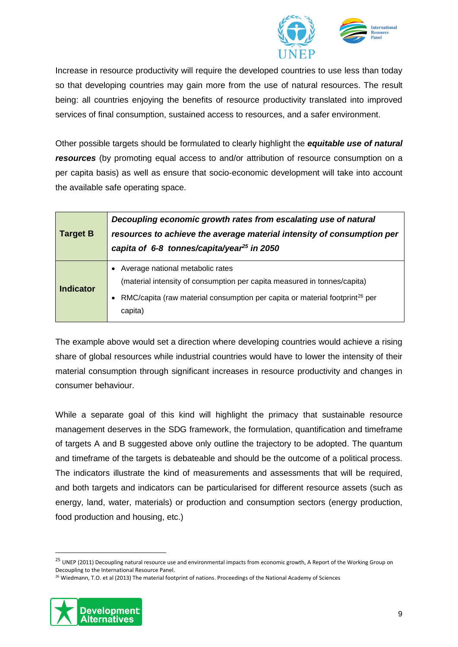

Increase in resource productivity will require the developed countries to use less than today so that developing countries may gain more from the use of natural resources. The result being: all countries enjoying the benefits of resource productivity translated into improved services of final consumption, sustained access to resources, and a safer environment.

Other possible targets should be formulated to clearly highlight the *equitable use of natural resources* (by promoting equal access to and/or attribution of resource consumption on a per capita basis) as well as ensure that socio-economic development will take into account the available safe operating space.

| <b>Target B</b>  | Decoupling economic growth rates from escalating use of natural<br>resources to achieve the average material intensity of consumption per<br>capita of 6-8 tonnes/capita/year <sup>25</sup> in 2050                |
|------------------|--------------------------------------------------------------------------------------------------------------------------------------------------------------------------------------------------------------------|
| <b>Indicator</b> | Average national metabolic rates<br>(material intensity of consumption per capita measured in tonnes/capita)<br>RMC/capita (raw material consumption per capita or material footprint <sup>26</sup> per<br>capita) |

The example above would set a direction where developing countries would achieve a rising share of global resources while industrial countries would have to lower the intensity of their material consumption through significant increases in resource productivity and changes in consumer behaviour.

While a separate goal of this kind will highlight the primacy that sustainable resource management deserves in the SDG framework, the formulation, quantification and timeframe of targets A and B suggested above only outline the trajectory to be adopted. The quantum and timeframe of the targets is debateable and should be the outcome of a political process. The indicators illustrate the kind of measurements and assessments that will be required, and both targets and indicators can be particularised for different resource assets (such as energy, land, water, materials) or production and consumption sectors (energy production, food production and housing, etc.)

<sup>&</sup>lt;sup>26</sup> Wiedmann, T.O. et al (2013) The material footprint of nations. Proceedings of the National Academy of Sciences



**.** 

<sup>&</sup>lt;sup>25</sup> UNEP (2011) Decoupling natural resource use and environmental impacts from economic growth, A Report of the Working Group on Decoupling to the International Resource Panel.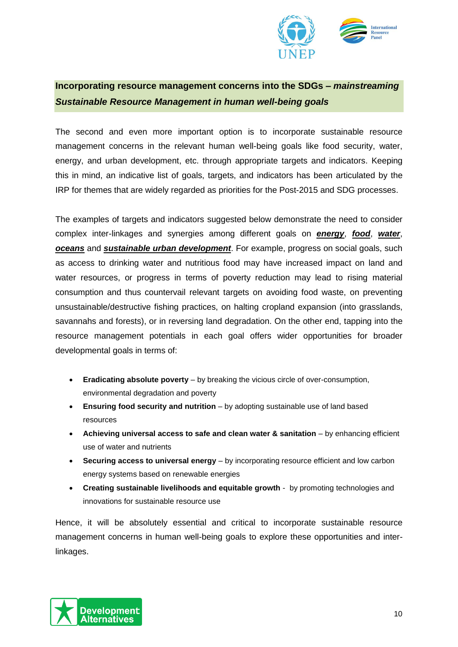

## **Incorporating resource management concerns into the SDGs –** *mainstreaming Sustainable Resource Management in human well-being goals*

The second and even more important option is to incorporate sustainable resource management concerns in the relevant human well-being goals like food security, water, energy, and urban development, etc. through appropriate targets and indicators. Keeping this in mind, an indicative list of goals, targets, and indicators has been articulated by the IRP for themes that are widely regarded as priorities for the Post-2015 and SDG processes.

The examples of targets and indicators suggested below demonstrate the need to consider complex inter-linkages and synergies among different goals on *energy*, *food*, *water*, *oceans* and *sustainable urban development*. For example, progress on social goals, such as access to drinking water and nutritious food may have increased impact on land and water resources, or progress in terms of poverty reduction may lead to rising material consumption and thus countervail relevant targets on avoiding food waste, on preventing unsustainable/destructive fishing practices, on halting cropland expansion (into grasslands, savannahs and forests), or in reversing land degradation. On the other end, tapping into the resource management potentials in each goal offers wider opportunities for broader developmental goals in terms of:

- **Eradicating absolute poverty** by breaking the vicious circle of over-consumption, environmental degradation and poverty
- **Ensuring food security and nutrition** by adopting sustainable use of land based resources
- **Achieving universal access to safe and clean water & sanitation** by enhancing efficient use of water and nutrients
- **Securing access to universal energy** by incorporating resource efficient and low carbon energy systems based on renewable energies
- **Creating sustainable livelihoods and equitable growth** by promoting technologies and innovations for sustainable resource use

Hence, it will be absolutely essential and critical to incorporate sustainable resource management concerns in human well-being goals to explore these opportunities and interlinkages.

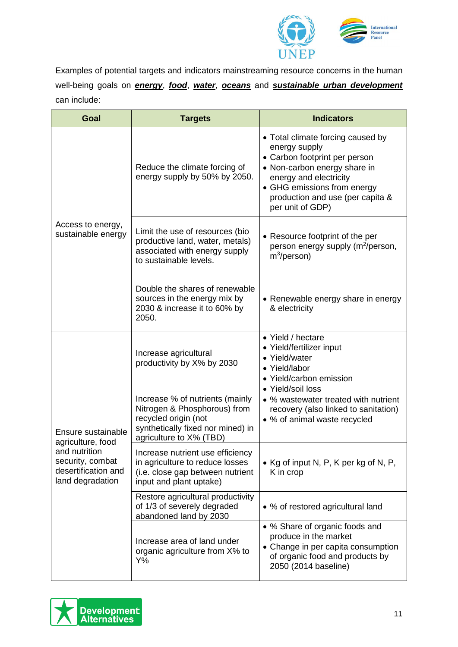

Examples of potential targets and indicators mainstreaming resource concerns in the human well-being goals on *energy*, *food*, *water*, *oceans* and *sustainable urban development* can include:

| <b>Goal</b>                                                                  | <b>Targets</b>                                                                                                                                          | <b>Indicators</b>                                                                                                                                                                                                                    |
|------------------------------------------------------------------------------|---------------------------------------------------------------------------------------------------------------------------------------------------------|--------------------------------------------------------------------------------------------------------------------------------------------------------------------------------------------------------------------------------------|
|                                                                              | Reduce the climate forcing of<br>energy supply by 50% by 2050.                                                                                          | • Total climate forcing caused by<br>energy supply<br>• Carbon footprint per person<br>• Non-carbon energy share in<br>energy and electricity<br>• GHG emissions from energy<br>production and use (per capita &<br>per unit of GDP) |
| Access to energy,<br>sustainable energy                                      | Limit the use of resources (bio<br>productive land, water, metals)<br>associated with energy supply<br>to sustainable levels.                           | • Resource footprint of the per<br>person energy supply (m <sup>2</sup> /person,<br>$m^3$ /person)                                                                                                                                   |
|                                                                              | Double the shares of renewable<br>sources in the energy mix by<br>2030 & increase it to 60% by<br>2050.                                                 | • Renewable energy share in energy<br>& electricity                                                                                                                                                                                  |
|                                                                              | Increase agricultural<br>productivity by X% by 2030                                                                                                     | • Yield / hectare<br>• Yield/fertilizer input<br>• Yield/water<br>• Yield/labor<br>• Yield/carbon emission<br>• Yield/soil loss                                                                                                      |
| Ensure sustainable<br>agriculture, food                                      | Increase % of nutrients (mainly<br>Nitrogen & Phosphorous) from<br>recycled origin (not<br>synthetically fixed nor mined) in<br>agriculture to X% (TBD) | • % wastewater treated with nutrient<br>recovery (also linked to sanitation)<br>• % of animal waste recycled                                                                                                                         |
| and nutrition<br>security, combat<br>desertification and<br>land degradation | Increase nutrient use efficiency<br>in agriculture to reduce losses<br>(i.e. close gap between nutrient<br>input and plant uptake)                      | • Kg of input N, P, K per kg of N, P,<br>K in crop                                                                                                                                                                                   |
|                                                                              | Restore agricultural productivity<br>of 1/3 of severely degraded<br>abandoned land by 2030                                                              | • % of restored agricultural land                                                                                                                                                                                                    |
|                                                                              | Increase area of land under<br>organic agriculture from X% to<br>Y%                                                                                     | • % Share of organic foods and<br>produce in the market<br>• Change in per capita consumption<br>of organic food and products by<br>2050 (2014 baseline)                                                                             |

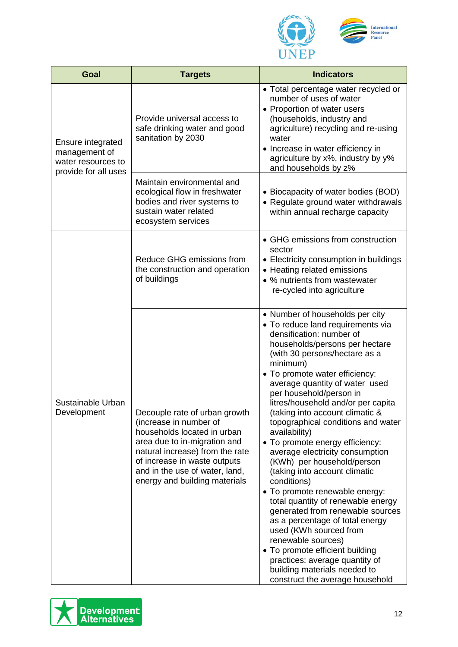

| Goal                                                     | <b>Targets</b>                                                                                                                                                                                                                                               | <b>Indicators</b>                                                                                                                                                                                                                                                                                                                                                                                                                                                                                                                                                                                                                                                                                                                                                                                                                                                                                         |
|----------------------------------------------------------|--------------------------------------------------------------------------------------------------------------------------------------------------------------------------------------------------------------------------------------------------------------|-----------------------------------------------------------------------------------------------------------------------------------------------------------------------------------------------------------------------------------------------------------------------------------------------------------------------------------------------------------------------------------------------------------------------------------------------------------------------------------------------------------------------------------------------------------------------------------------------------------------------------------------------------------------------------------------------------------------------------------------------------------------------------------------------------------------------------------------------------------------------------------------------------------|
| Ensure integrated<br>management of<br>water resources to | Provide universal access to<br>safe drinking water and good<br>sanitation by 2030                                                                                                                                                                            | • Total percentage water recycled or<br>number of uses of water<br>• Proportion of water users<br>(households, industry and<br>agriculture) recycling and re-using<br>water<br>• Increase in water efficiency in<br>agriculture by x%, industry by y%<br>and households by z%                                                                                                                                                                                                                                                                                                                                                                                                                                                                                                                                                                                                                             |
| provide for all uses                                     | Maintain environmental and<br>ecological flow in freshwater<br>bodies and river systems to<br>sustain water related<br>ecosystem services                                                                                                                    | • Biocapacity of water bodies (BOD)<br>• Regulate ground water withdrawals<br>within annual recharge capacity                                                                                                                                                                                                                                                                                                                                                                                                                                                                                                                                                                                                                                                                                                                                                                                             |
|                                                          | Reduce GHG emissions from<br>the construction and operation<br>of buildings                                                                                                                                                                                  | • GHG emissions from construction<br>sector<br>• Electricity consumption in buildings<br>• Heating related emissions<br>• % nutrients from wastewater<br>re-cycled into agriculture                                                                                                                                                                                                                                                                                                                                                                                                                                                                                                                                                                                                                                                                                                                       |
| Sustainable Urban<br>Development                         | Decouple rate of urban growth<br>(increase in number of<br>households located in urban<br>area due to in-migration and<br>natural increase) from the rate<br>of increase in waste outputs<br>and in the use of water, land,<br>energy and building materials | • Number of households per city<br>• To reduce land requirements via<br>densification: number of<br>households/persons per hectare<br>(with 30 persons/hectare as a<br>minimum)<br>• To promote water efficiency:<br>average quantity of water used<br>per household/person in<br>litres/household and/or per capita<br>(taking into account climatic &<br>topographical conditions and water<br>availability)<br>• To promote energy efficiency:<br>average electricity consumption<br>(KWh) per household/person<br>(taking into account climatic<br>conditions)<br>• To promote renewable energy:<br>total quantity of renewable energy<br>generated from renewable sources<br>as a percentage of total energy<br>used (KWh sourced from<br>renewable sources)<br>• To promote efficient building<br>practices: average quantity of<br>building materials needed to<br>construct the average household |